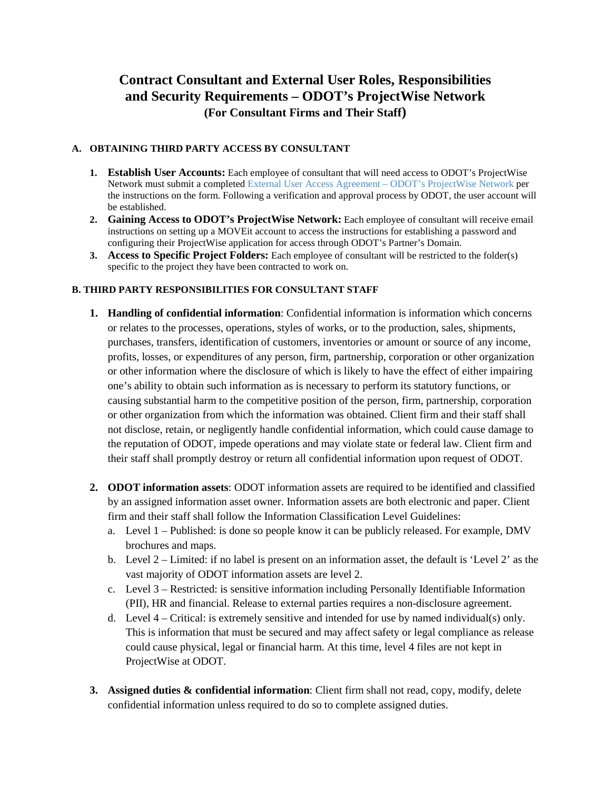## **Contract Consultant and External User Roles, Responsibilities and Security Requirements – ODOT's ProjectWise Network (For Consultant Firms and Their Staff)**

## **A. OBTAINING THIRD PARTY ACCESS BY CONSULTANT**

- **1. Establish User Accounts:** Each employee of consultant that will need access to ODOT's ProjectWise Network must submit a completed [External User Access Agreement –](http://www.oregon.gov/ODOT/Business/ProjectWise/EUAA.docx) ODOT's ProjectWise Network per the instructions on the form. Following a verification and approval process by ODOT, the user account will be established.
- **2. Gaining Access to ODOT's ProjectWise Network:** Each employee of consultant will receive email instructions on setting up a MOVEit account to access the instructions for establishing a password and configuring their ProjectWise application for access through ODOT's Partner's Domain.
- **3. Access to Specific Project Folders:** Each employee of consultant will be restricted to the folder(s) specific to the project they have been contracted to work on.

## **B. THIRD PARTY RESPONSIBILITIES FOR CONSULTANT STAFF**

- **1. Handling of confidential information**: Confidential information is information which concerns or relates to the processes, operations, styles of works, or to the production, sales, shipments, purchases, transfers, identification of customers, inventories or amount or source of any income, profits, losses, or expenditures of any person, firm, partnership, corporation or other organization or other information where the disclosure of which is likely to have the effect of either impairing one's ability to obtain such information as is necessary to perform its statutory functions, or causing substantial harm to the competitive position of the person, firm, partnership, corporation or other organization from which the information was obtained. Client firm and their staff shall not disclose, retain, or negligently handle confidential information, which could cause damage to the reputation of ODOT, impede operations and may violate state or federal law. Client firm and their staff shall promptly destroy or return all confidential information upon request of ODOT.
- **2. ODOT information assets**: ODOT information assets are required to be identified and classified by an assigned information asset owner. Information assets are both electronic and paper. Client firm and their staff shall follow the Information Classification Level Guidelines:
	- a. Level 1 Published: is done so people know it can be publicly released. For example, DMV brochures and maps.
	- b. Level 2 Limited: if no label is present on an information asset, the default is 'Level 2' as the vast majority of ODOT information assets are level 2.
	- c. Level 3 Restricted: is sensitive information including Personally Identifiable Information (PII), HR and financial. Release to external parties requires a non-disclosure agreement.
	- d. Level  $4$  Critical: is extremely sensitive and intended for use by named individual(s) only. This is information that must be secured and may affect safety or legal compliance as release could cause physical, legal or financial harm. At this time, level 4 files are not kept in ProjectWise at ODOT.
- **3. Assigned duties & confidential information**: Client firm shall not read, copy, modify, delete confidential information unless required to do so to complete assigned duties.